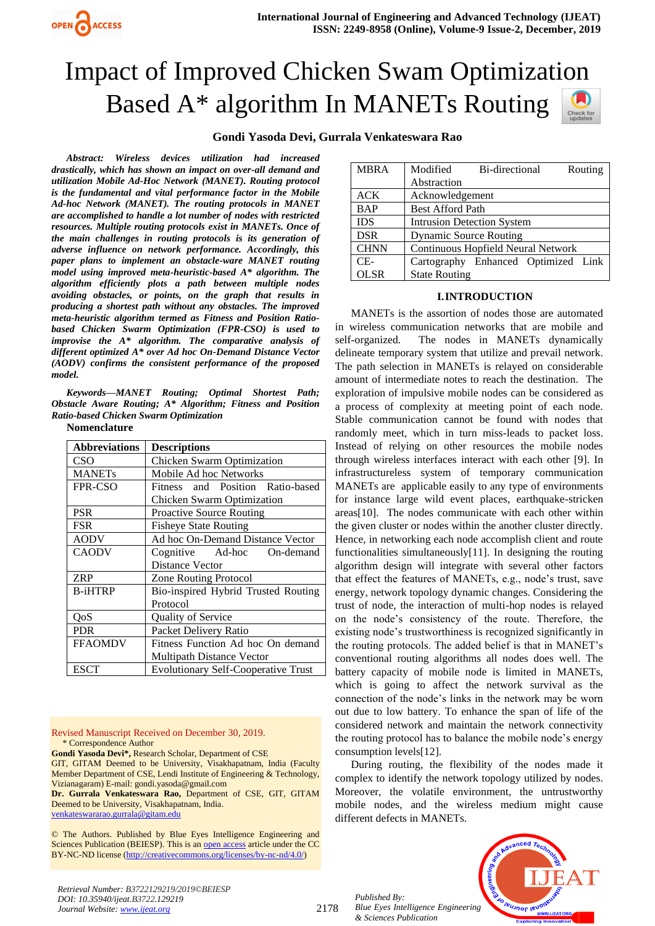# Impact of Improved Chicken Swam Optimization Based A\* algorithm In MANETs Routing

# **Gondi Yasoda Devi, Gurrala Venkateswara Rao**

*Abstract: Wireless devices utilization had increased drastically, which has shown an impact on over-all demand and utilization Mobile Ad-Hoc Network (MANET). Routing protocol is the fundamental and vital performance factor in the Mobile Ad-hoc Network (MANET). The routing protocols in MANET are accomplished to handle a lot number of nodes with restricted resources. Multiple routing protocols exist in MANETs. Once of the main challenges in routing protocols is its generation of adverse influence on network performance. Accordingly, this paper plans to implement an obstacle-ware MANET routing model using improved meta-heuristic-based A\* algorithm. The algorithm efficiently plots a path between multiple nodes avoiding obstacles, or points, on the graph that results in producing a shortest path without any obstacles. The improved meta-heuristic algorithm termed as Fitness and Position Ratiobased Chicken Swarm Optimization (FPR-CSO) is used to improvise the A\* algorithm. The comparative analysis of different optimized A\* over Ad hoc On-Demand Distance Vector (AODV) confirms the consistent performance of the proposed model.*

*Keywords—MANET Routing; Optimal Shortest Path; Obstacle Aware Routing; A\* Algorithm; Fitness and Position Ratio-based Chicken Swarm Optimization*

| Nomenclature |  |
|--------------|--|
|--------------|--|

| <b>Abbreviations</b> | <b>Descriptions</b>                        |  |  |  |
|----------------------|--------------------------------------------|--|--|--|
| CSO                  | Chicken Swarm Optimization                 |  |  |  |
| <b>MANETs</b>        | Mobile Ad hoc Networks                     |  |  |  |
| FPR-CSO              | Fitness and Position Ratio-based           |  |  |  |
|                      | Chicken Swarm Optimization                 |  |  |  |
| <b>PSR</b>           | <b>Proactive Source Routing</b>            |  |  |  |
| FSR                  | <b>Fisheye State Routing</b>               |  |  |  |
| <b>AODV</b>          | Ad hoc On-Demand Distance Vector           |  |  |  |
| <b>CAODV</b>         | Cognitive Ad-hoc On-demand                 |  |  |  |
|                      | <b>Distance Vector</b>                     |  |  |  |
| <b>ZRP</b>           | <b>Zone Routing Protocol</b>               |  |  |  |
| <b>B-iHTRP</b>       | Bio-inspired Hybrid Trusted Routing        |  |  |  |
|                      | Protocol                                   |  |  |  |
| OoS                  | <b>Quality of Service</b>                  |  |  |  |
| <b>PDR</b>           | Packet Delivery Ratio                      |  |  |  |
| <b>FFAOMDV</b>       | Fitness Function Ad hoc On demand          |  |  |  |
|                      | <b>Multipath Distance Vector</b>           |  |  |  |
| ESCT                 | <b>Evolutionary Self-Cooperative Trust</b> |  |  |  |

Revised Manuscript Received on December 30, 2019. \* Correspondence Author

**Gondi Yasoda Devi\*,** Research Scholar, Department of CSE

GIT, GITAM Deemed to be University, Visakhapatnam, India (Faculty Member Department of CSE, Lendi Institute of Engineering & Technology, Vizianagaram) E-mail[: gondi.yasoda@gmail.com](mailto:gondi.yasoda@gmail.com)

**Dr. Gurrala Venkateswara Rao,** Department of CSE, GIT, GITAM Deemed to be University, Visakhapatnam, India.

[venkateswararao.gurrala@gitam.edu](mailto:venkateswararao.gurrala@gitam.edu)

© The Authors. Published by Blue Eyes Intelligence Engineering and Sciences Publication (BEIESP). This is a[n open access](https://www.openaccess.nl/en/open-publications) article under the CC BY-NC-ND license [\(http://creativecommons.org/licenses/by-nc-nd/4.0/\)](http://creativecommons.org/licenses/by-nc-nd/4.0/)



### **I.INTRODUCTION**

MANETs is the assortion of nodes those are automated in wireless communication networks that are mobile and self-organized. The nodes in MANETs dynamically delineate temporary system that utilize and prevail network. The path selection in MANETs is relayed on considerable amount of intermediate notes to reach the destination. The exploration of impulsive mobile nodes can be considered as a process of complexity at meeting point of each node. Stable communication cannot be found with nodes that randomly meet, which in turn miss-leads to packet loss. Instead of relying on other resources the mobile nodes through wireless interfaces interact with each other [9]. In infrastructureless system of temporary communication MANETs are applicable easily to any type of environments for instance large wild event places, earthquake-stricken areas[10]. The nodes communicate with each other within the given cluster or nodes within the another cluster directly. Hence, in networking each node accomplish client and route functionalities simultaneously[11]. In designing the routing algorithm design will integrate with several other factors that effect the features of MANETs, e.g., node's trust, save energy, network topology dynamic changes. Considering the trust of node, the interaction of multi-hop nodes is relayed on the node's consistency of the route. Therefore, the existing node's trustworthiness is recognized significantly in the routing protocols. The added belief is that in MANET's conventional routing algorithms all nodes does well. The battery capacity of mobile node is limited in MANETs, which is going to affect the network survival as the connection of the node's links in the network may be worn out due to low battery. To enhance the span of life of the considered network and maintain the network connectivity the routing protocol has to balance the mobile node's energy consumption levels[12].

During routing, the flexibility of the nodes made it complex to identify the network topology utilized by nodes. Moreover, the volatile environment, the untrustworthy mobile nodes, and the wireless medium might cause different defects in MANETs.

*Published By: Blue Eyes Intelligence Engineering & Sciences Publication* 



*Retrieval Number: B3722129219/2019©BEIESP DOI: 10.35940/ijeat.B3722.129219 Journal Website[: www.ijeat.org](http://www.ijeat.org/)*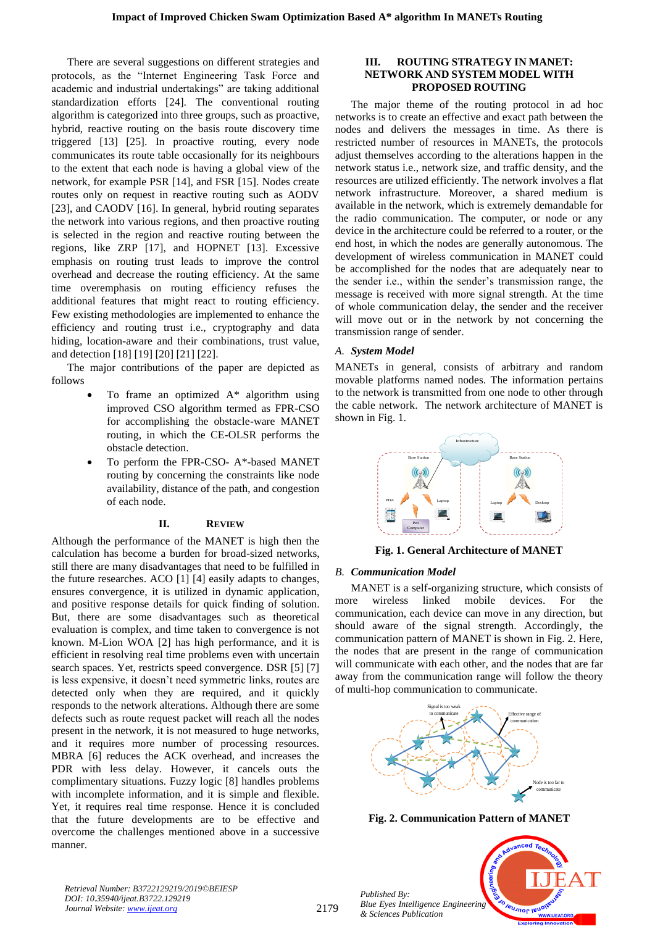There are several suggestions on different strategies and protocols, as the "Internet Engineering Task Force and academic and industrial undertakings" are taking additional standardization efforts [24]. The conventional routing algorithm is categorized into three groups, such as proactive, hybrid, reactive routing on the basis route discovery time triggered [13] [25]. In proactive routing, every node communicates its route table occasionally for its neighbours to the extent that each node is having a global view of the network, for example PSR [14], and FSR [15]. Nodes create routes only on request in reactive routing such as AODV [23], and CAODV [16]. In general, hybrid routing separates the network into various regions, and then proactive routing is selected in the region and reactive routing between the regions, like ZRP [17], and HOPNET [13]. Excessive emphasis on routing trust leads to improve the control overhead and decrease the routing efficiency. At the same time overemphasis on routing efficiency refuses the additional features that might react to routing efficiency. Few existing methodologies are implemented to enhance the efficiency and routing trust i.e., cryptography and data hiding, location-aware and their combinations, trust value, and detection [18] [19] [20] [21] [22].

The major contributions of the paper are depicted as follows

- To frame an optimized  $A^*$  algorithm using improved CSO algorithm termed as FPR-CSO for accomplishing the obstacle-ware MANET routing, in which the CE-OLSR performs the obstacle detection.
- To perform the FPR-CSO- A\*-based MANET routing by concerning the constraints like node availability, distance of the path, and congestion of each node.

# **II. REVIEW**

Although the performance of the MANET is high then the calculation has become a burden for broad-sized networks, still there are many disadvantages that need to be fulfilled in the future researches. ACO [1] [4] easily adapts to changes, ensures convergence, it is utilized in dynamic application, and positive response details for quick finding of solution. But, there are some disadvantages such as theoretical evaluation is complex, and time taken to convergence is not known. M-Lion WOA [2] has high performance, and it is efficient in resolving real time problems even with uncertain search spaces. Yet, restricts speed convergence. DSR [5] [7] is less expensive, it doesn't need symmetric links, routes are detected only when they are required, and it quickly responds to the network alterations. Although there are some defects such as route request packet will reach all the nodes present in the network, it is not measured to huge networks, and it requires more number of processing resources. MBRA [6] reduces the ACK overhead, and increases the PDR with less delay. However, it cancels outs the complimentary situations. Fuzzy logic [8] handles problems with incomplete information, and it is simple and flexible. Yet, it requires real time response. Hence it is concluded that the future developments are to be effective and overcome the challenges mentioned above in a successive manner.

#### **III. ROUTING STRATEGY IN MANET: NETWORK AND SYSTEM MODEL WITH PROPOSED ROUTING**

The major theme of the routing protocol in ad hoc networks is to create an effective and exact path between the nodes and delivers the messages in time. As there is restricted number of resources in MANETs, the protocols adjust themselves according to the alterations happen in the network status i.e., network size, and traffic density, and the resources are utilized efficiently. The network involves a flat network infrastructure. Moreover, a shared medium is available in the network, which is extremely demandable for the radio communication. The computer, or node or any device in the architecture could be referred to a router, or the end host, in which the nodes are generally autonomous. The development of wireless communication in MANET could be accomplished for the nodes that are adequately near to the sender i.e., within the sender's transmission range, the message is received with more signal strength. At the time of whole communication delay, the sender and the receiver will move out or in the network by not concerning the transmission range of sender.

# *A. System Model*

MANETs in general, consists of arbitrary and random movable platforms named nodes. The information pertains to the network is transmitted from one node to other through the cable network. The network architecture of MANET is shown in Fig. 1.



**Fig. 1. General Architecture of MANET**

# *B. Communication Model*

MANET is a self-organizing structure, which consists of more wireless linked mobile devices. For the communication, each device can move in any direction, but should aware of the signal strength. Accordingly, the communication pattern of MANET is shown in Fig. 2. Here, the nodes that are present in the range of communication will communicate with each other, and the nodes that are far away from the communication range will follow the theory of multi-hop communication to communicate.



**Fig. 2. Communication Pattern of MANET**

**PUJNOF IEUO** 

*Retrieval Number: B3722129219/2019©BEIESP DOI: 10.35940/ijeat.B3722.129219 Journal Website: [www.ijeat.org](http://www.ijeat.org/)*

2179

*Published By: Blue Eyes Intelligence Engineering & Sciences Publication*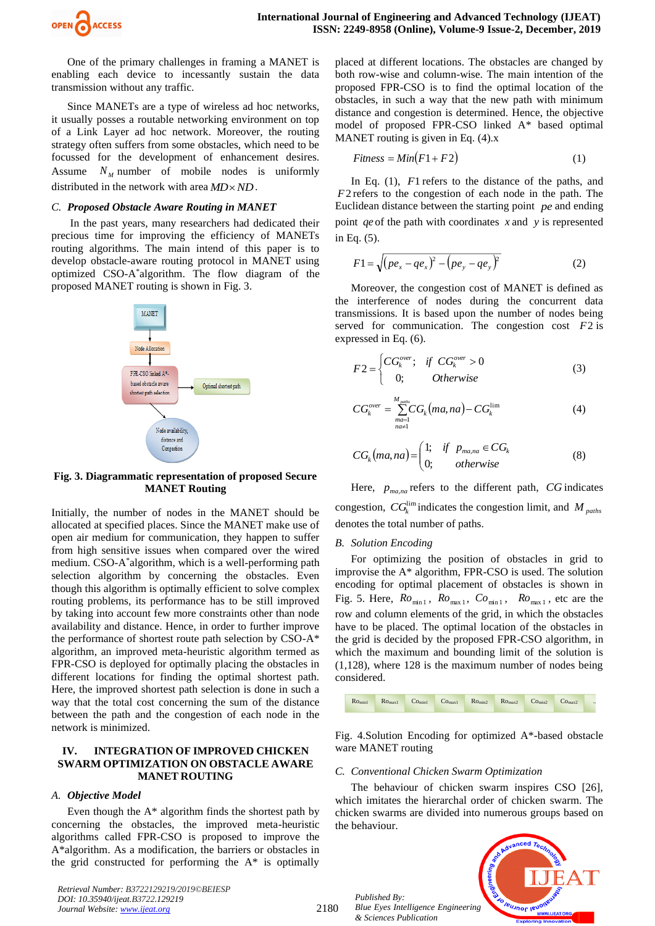

One of the primary challenges in framing a MANET is enabling each device to incessantly sustain the data transmission without any traffic.

Since MANETs are a type of wireless ad hoc networks, it usually posses a routable networking environment on top of a Link Layer ad hoc network. Moreover, the routing strategy often suffers from some obstacles, which need to be focussed for the development of enhancement desires. Assume *N <sup>M</sup>* number of mobile nodes is uniformly distributed in the network with area  $MD \times ND$ .

#### *C. Proposed Obstacle Aware Routing in MANET*

In the past years, many researchers had dedicated their precious time for improving the efficiency of MANETs routing algorithms. The main intend of this paper is to develop obstacle-aware routing protocol in MANET using optimized CSO-A\* algorithm. The flow diagram of the proposed MANET routing is shown in Fig. 3.



#### **Fig. 3. Diagrammatic representation of proposed Secure MANET Routing**

Initially, the number of nodes in the MANET should be allocated at specified places. Since the MANET make use of open air medium for communication, they happen to suffer from high sensitive issues when compared over the wired medium. CSO-A\* algorithm, which is a well-performing path selection algorithm by concerning the obstacles. Even though this algorithm is optimally efficient to solve complex routing problems, its performance has to be still improved by taking into account few more constraints other than node availability and distance. Hence, in order to further improve the performance of shortest route path selection by CSO-A\* algorithm, an improved meta-heuristic algorithm termed as FPR-CSO is deployed for optimally placing the obstacles in different locations for finding the optimal shortest path. Here, the improved shortest path selection is done in such a way that the total cost concerning the sum of the distance between the path and the congestion of each node in the network is minimized.

#### **IV. INTEGRATION OF IMPROVED CHICKEN SWARM OPTIMIZATION ON OBSTACLE AWARE MANET ROUTING**

#### *A. Objective Model*

Even though the A\* algorithm finds the shortest path by concerning the obstacles, the improved meta-heuristic algorithms called FPR-CSO is proposed to improve the A\*algorithm. As a modification, the barriers or obstacles in the grid constructed for performing the  $A^*$  is optimally

*Retrieval Number: B3722129219/2019©BEIESP DOI: 10.35940/ijeat.B3722.129219 Journal Website[: www.ijeat.org](http://www.ijeat.org/)*

placed at different locations. The obstacles are changed by both row-wise and column-wise. The main intention of the proposed FPR-CSO is to find the optimal location of the obstacles, in such a way that the new path with minimum distance and congestion is determined. Hence, the objective model of proposed FPR-CSO linked A\* based optimal MANET routing is given in Eq. (4).x

$$
Fitness = Min(F1 + F2)
$$
\n(1)

In Eq. (1),  $F1$  refers to the distance of the paths, and *F*2 refers to the congestion of each node in the path. The Euclidean distance between the starting point *pe* and ending point *qe* of the path with coordinates *x* and *y* is represented in Eq. (5).

$$
F1 = \sqrt{(pe_x - qe_x)^2 - (pe_y - qe_y)^2}
$$
 (2)

Moreover, the congestion cost of MANET is defined as the interference of nodes during the concurrent data transmissions. It is based upon the number of nodes being served for communication. The congestion cost *F*2 is expressed in Eq. (6).

$$
F2 = \begin{cases} CG_k^{over}; & \text{if } CG_k^{over} > 0\\ 0; & \text{Otherwise} \end{cases}
$$
 (3)

$$
CG_k^{over} = \sum_{\substack{ma=1 \ n a=1}}^{M_{paths}} CG_k(ma, na) - CG_k^{\lim} \tag{4}
$$

$$
CG_k(ma,na) = \begin{pmatrix} 1; & if & p_{ma,na} \in CG_k \\ 0; & otherwise \end{pmatrix}
$$
 (8)

Here,  $p_{ma,na}$  refers to the different path,  $CG$  indicates congestion,  $CG_k^{\lim}$  indicates the congestion limit, and M  $_{paths}$ denotes the total number of paths.

#### *B. Solution Encoding*

For optimizing the position of obstacles in grid to improvise the A\* algorithm, FPR-CSO is used. The solution encoding for optimal placement of obstacles is shown in Fig. 5. Here,  $Ro_{min1}$ ,  $Ro_{max1}$ ,  $Co_{min1}$ ,  $Ro_{max1}$ , etc are the row and column elements of the grid, in which the obstacles have to be placed. The optimal location of the obstacles in the grid is decided by the proposed FPR-CSO algorithm, in which the maximum and bounding limit of the solution is (1,128), where 128 is the maximum number of nodes being considered.



Fig. 4.Solution Encoding for optimized A\*-based obstacle ware MANET routing

#### *C. Conventional Chicken Swarm Optimization*

The behaviour of chicken swarm inspires CSO [26], which imitates the hierarchal order of chicken swarm. The chicken swarms are divided into numerous groups based on the behaviour.



*Published By: Blue Eyes Intelligence Engineering & Sciences Publication*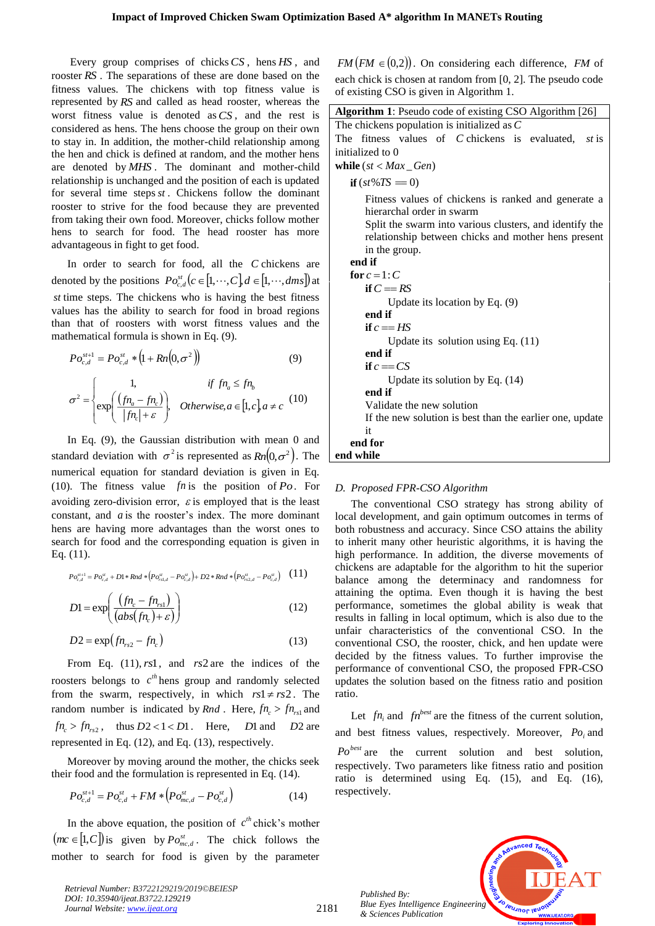Every group comprises of chicks *CS* , hens *HS* , and rooster *RS* . The separations of these are done based on the fitness values. The chickens with top fitness value is represented by *RS* and called as head rooster, whereas the worst fitness value is denoted as *CS* , and the rest is considered as hens. The hens choose the group on their own to stay in. In addition, the mother-child relationship among the hen and chick is defined at random, and the mother hens are denoted by *MHS* . The dominant and mother-child relationship is unchanged and the position of each is updated for several time steps *st* . Chickens follow the dominant rooster to strive for the food because they are prevented from taking their own food. Moreover, chicks follow mother hens to search for food. The head rooster has more advantageous in fight to get food.

In order to search for food, all the *C* chickens are denoted by the positions  $Po_{c,d}^{st}(c \in [1, \dots, C], d \in [1, \dots, dms])$  at *st* time steps. The chickens who is having the best fitness values has the ability to search for food in broad regions than that of roosters with worst fitness values and the mathematical formula is shown in Eq. (9).

$$
Po_{c,d}^{s\tau+1} = Po_{c,d}^{st} * (1 + Rn(0, \sigma^2))
$$
\n
$$
\begin{cases}\n1, & \text{if } fn_a \leq fn_b\n\end{cases}
$$
\n(9)

$$
\sigma^2 = \begin{cases} 1, & \text{if } fn_a \leq fn_b \\ \exp\left(\frac{(fn_a - fn_c)}{|fn_c| + \varepsilon}\right), & \text{Otherwise, } a \in [1, c] \text{, } a \neq c \end{cases} (10)
$$

In Eq. (9), the Gaussian distribution with mean 0 and standard deviation with  $\sigma^2$  is represented as  $Rn(0,\sigma^2)$ . The numerical equation for standard deviation is given in Eq. (10). The fitness value  $fn$  is the position of  $Po$ . For avoiding zero-division error,  $\varepsilon$  is employed that is the least constant, and *a* is the rooster's index. The more dominant hens are having more advantages than the worst ones to search for food and the corresponding equation is given in Eq. (11).

$$
P o_{c,d}^{st+1} = P o_{c,d}^{st} + D1 * Rnd * (P o_{rs1,d}^{st} - P o_{c,d}^{st}) + D2 * Rnd * (P o_{rs2,d}^{st} - P o_{c,d}^{st}) \quad (11)
$$

$$
D1 = \exp\left(\frac{\left(\text{fn}_c - \text{fn}_{\text{rsl}}\right)}{\left(\text{abs}(\text{fn}_c) + \varepsilon\right)}\right) \tag{12}
$$

$$
D2 = \exp\left(f n_{rs2} - f n_c\right) \tag{13}
$$

From Eq. (11), *rs*1 , and *rs*2 are the indices of the roosters belongs to  $c^{th}$  hens group and randomly selected from the swarm, respectively, in which  $rs1 \neq rs2$ . The random number is indicated by *Rnd*. Here,  $fn_c > fn_{rs1}$  and  $fn_c > fn_{rs2}$ , thus  $D2 < 1 < D1$ . Here, *D*1 and *D2* are represented in Eq. (12), and Eq. (13), respectively.

Moreover by moving around the mother, the chicks seek their food and the formulation is represented in Eq. (14).

$$
Po_{c,d}^{st+1} = Po_{c,d}^{st} + FM * (Po_{mc,d}^{st} - Po_{c,d}^{st})
$$
 (14)

In the above equation, the position of  $c^{th}$  chick's mother  $(mc \in [1, C])$  is given by  $Po_{mc,d}^{st}$ . The chick follows the mother to search for food is given by the parameter

*Retrieval Number: B3722129219/2019©BEIESP DOI: 10.35940/ijeat.B3722.129219 Journal Website: [www.ijeat.org](http://www.ijeat.org/)*

 $FM(FM \in (0,2))$ . On considering each difference, *FM* of each chick is chosen at random from [0, 2]. The pseudo code of existing CSO is given in Algorithm 1.

| Algorithm 1: Pseudo code of existing CSO Algorithm [26]  |
|----------------------------------------------------------|
| The chickens population is initialized as $C$            |
| The fitness values of C chickens is evaluated, st is     |
| initialized to 0                                         |
| while $(st < Max_Gen)$                                   |
| $if (st\%TS = 0)$                                        |
| Fitness values of chickens is ranked and generate a      |
| hierarchal order in swarm                                |
| Split the swarm into various clusters, and identify the  |
| relationship between chicks and mother hens present      |
| in the group.                                            |
| end if                                                   |
| for $c=1: C$                                             |
| if $C == RS$                                             |
| Update its location by Eq. $(9)$                         |
| end if                                                   |
| if $c = HS$                                              |
| Update its solution using Eq. $(11)$                     |
| end if                                                   |
| if $c = C S$                                             |
| Update its solution by Eq. $(14)$                        |
| end if                                                   |
| Validate the new solution                                |
| If the new solution is best than the earlier one, update |
| it                                                       |
| end for                                                  |
| end while                                                |
|                                                          |

#### *D. Proposed FPR-CSO Algorithm*

The conventional CSO strategy has strong ability of local development, and gain optimum outcomes in terms of both robustness and accuracy. Since CSO attains the ability to inherit many other heuristic algorithms, it is having the high performance. In addition, the diverse movements of chickens are adaptable for the algorithm to hit the superior balance among the determinacy and randomness for attaining the optima. Even though it is having the best performance, sometimes the global ability is weak that results in falling in local optimum, which is also due to the unfair characteristics of the conventional CSO. In the conventional CSO, the rooster, chick, and hen update were decided by the fitness values. To further improvise the performance of conventional CSO, the proposed FPR-CSO updates the solution based on the fitness ratio and position ratio.

Let  $fn_i$  and  $fn^{best}$  are the fitness of the current solution, and best fitness values, respectively. Moreover,  $Po_i$  and Po<sup>best</sup> are the current solution and best solution, respectively. Two parameters like fitness ratio and position ratio is determined using Eq. (15), and Eq. (16), respectively.

*Published By: Blue Eyes Intelligence Engineering & Sciences Publication* 

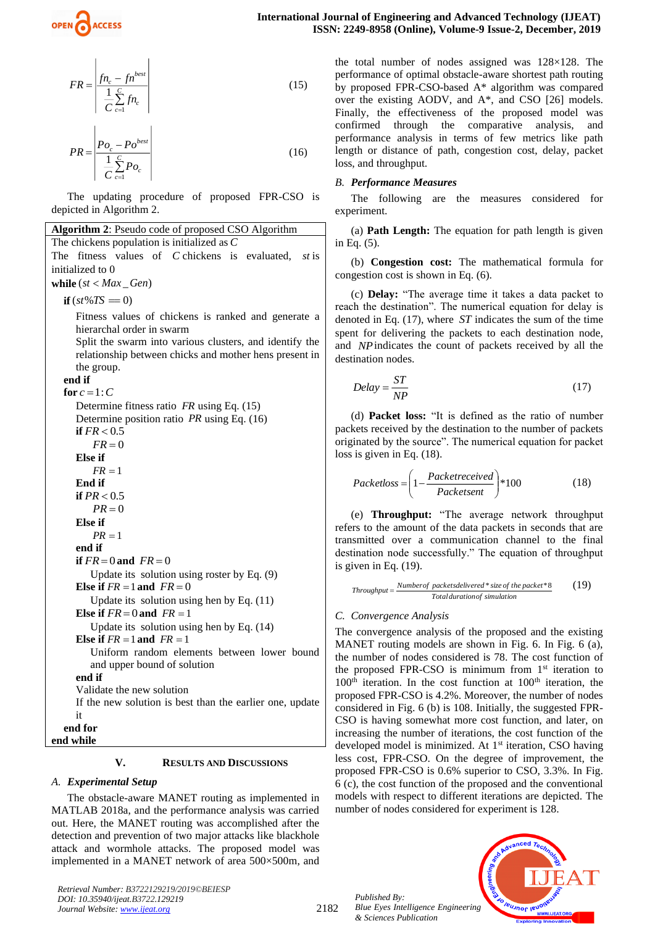

$$
FR = \frac{f n_c - f n^{best}}{\frac{1}{C} \sum_{c=1}^{C} f n_c}
$$
 (15)

$$
PR = \frac{\left| P_{O_c} - P_{O}^{best} \right|}{\frac{1}{C} \sum_{c=1}^{C} P_{O_c}}
$$
\n(16)

The updating procedure of proposed FPR-CSO is depicted in Algorithm 2.

**Algorithm 2**: Pseudo code of proposed CSO Algorithm The chickens population is initialized as *C* The fitness values of *C* chickens is evaluated, *st* is initialized to 0 **while**  $(st < Max\_Gen)$  $\mathbf{if}(st\%TS=0)$ Fitness values of chickens is ranked and generate a hierarchal order in swarm Split the swarm into various clusters, and identify the relationship between chicks and mother hens present in the group. **end if** for  $c = 1: C$ Determine fitness ratio *FR* using Eq. (15) Determine position ratio *PR* using Eq. (16) **if**  $FR < 0.5$  $FR = 0$ **Else if**  $FR = 1$ **End if if**  $PR < 0.5$  $PR = 0$ **Else if**  $PR = 1$ **end if if**  $FR = 0$  and  $FR = 0$ Update its solution using roster by Eq. (9) **Else if**  $FR = 1$  and  $FR = 0$ Update its solution using hen by Eq. (11) **Else if**  $FR = 0$  and  $FR = 1$ Update its solution using hen by Eq. (14) **Else if**  $FR = 1$  and  $FR = 1$ Uniform random elements between lower bound and upper bound of solution **end if** Validate the new solution If the new solution is best than the earlier one, update it **end for**

**end while**

**V. RESULTS AND DISCUSSIONS**

## *A. Experimental Setup*

The obstacle-aware MANET routing as implemented in MATLAB 2018a, and the performance analysis was carried out. Here, the MANET routing was accomplished after the detection and prevention of two major attacks like blackhole attack and wormhole attacks. The proposed model was implemented in a MANET network of area 500×500m, and

*Retrieval Number: B3722129219/2019©BEIESP DOI: 10.35940/ijeat.B3722.129219 Journal Website[: www.ijeat.org](http://www.ijeat.org/)*

the total number of nodes assigned was 128×128. The performance of optimal obstacle-aware shortest path routing by proposed FPR-CSO-based A\* algorithm was compared over the existing AODV, and A\*, and CSO [26] models. Finally, the effectiveness of the proposed model was confirmed through the comparative analysis, and performance analysis in terms of few metrics like path length or distance of path, congestion cost, delay, packet loss, and throughput.

## *B. Performance Measures*

The following are the measures considered for experiment.

(a) **Path Length:** The equation for path length is given in Eq. (5).

(b) **Congestion cost:** The mathematical formula for congestion cost is shown in Eq. (6).

(c) **Delay:** "The average time it takes a data packet to reach the destination". The numerical equation for delay is denoted in Eq. (17), where *ST* indicates the sum of the time spent for delivering the packets to each destination node, and *NP* indicates the count of packets received by all the destination nodes

$$
Delay = \frac{ST}{NP}
$$
 (17)

(d) **Packet loss:** "It is defined as the ratio of number packets received by the destination to the number of packets originated by the source". The numerical equation for packet loss is given in Eq. (18).

$$
Packetloss = \left(1 - \frac{Packetreceived}{Packetsent}\right) * 100\tag{18}
$$

(e) **Throughput:** "The average network throughput refers to the amount of the data packets in seconds that are transmitted over a communication channel to the final destination node successfully." The equation of throughput is given in Eq. (19).

$$
Throughput = \frac{Number of packets delivered * size of the packet * 8}{Total duration of simulation}
$$
 (19)

## *C. Convergence Analysis*

The convergence analysis of the proposed and the existing MANET routing models are shown in Fig. 6. In Fig. 6 (a), the number of nodes considered is 78. The cost function of the proposed FPR-CSO is minimum from  $1<sup>st</sup>$  iteration to  $100<sup>th</sup>$  iteration. In the cost function at  $100<sup>th</sup>$  iteration, the proposed FPR-CSO is 4.2%. Moreover, the number of nodes considered in Fig. 6 (b) is 108. Initially, the suggested FPR-CSO is having somewhat more cost function, and later, on increasing the number of iterations, the cost function of the developed model is minimized. At 1<sup>st</sup> iteration, CSO having less cost, FPR-CSO. On the degree of improvement, the proposed FPR-CSO is 0.6% superior to CSO, 3.3%. In Fig. 6 (c), the cost function of the proposed and the conventional models with respect to different iterations are depicted. The number of nodes considered for experiment is 128.

*Published By: Blue Eyes Intelligence Engineering & Sciences Publication* 

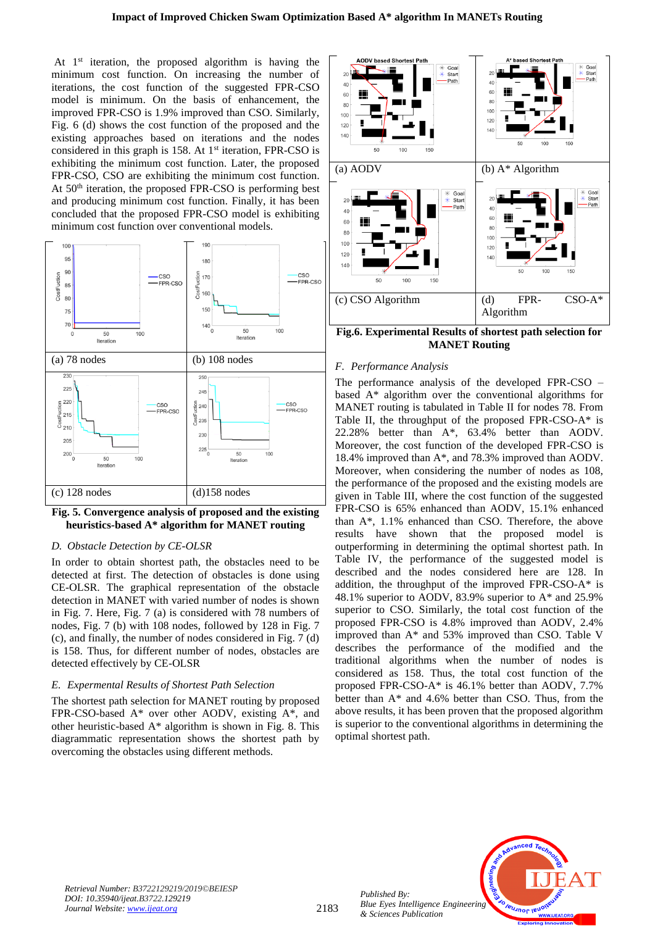At  $1<sup>st</sup>$  iteration, the proposed algorithm is having the minimum cost function. On increasing the number of iterations, the cost function of the suggested FPR-CSO model is minimum. On the basis of enhancement, the improved FPR-CSO is 1.9% improved than CSO. Similarly, Fig. 6 (d) shows the cost function of the proposed and the existing approaches based on iterations and the nodes considered in this graph is 158. At  $1<sup>st</sup>$  iteration, FPR-CSO is exhibiting the minimum cost function. Later, the proposed FPR-CSO, CSO are exhibiting the minimum cost function. At 50<sup>th</sup> iteration, the proposed FPR-CSO is performing best and producing minimum cost function. Finally, it has been concluded that the proposed FPR-CSO model is exhibiting minimum cost function over conventional models.



**Fig. 5. Convergence analysis of proposed and the existing heuristics-based A\* algorithm for MANET routing**

#### *D. Obstacle Detection by CE-OLSR*

In order to obtain shortest path, the obstacles need to be detected at first. The detection of obstacles is done using CE-OLSR. The graphical representation of the obstacle detection in MANET with varied number of nodes is shown in Fig. 7. Here, Fig. 7 (a) is considered with 78 numbers of nodes, Fig. 7 (b) with 108 nodes, followed by 128 in Fig. 7 (c), and finally, the number of nodes considered in Fig. 7 (d) is 158. Thus, for different number of nodes, obstacles are detected effectively by CE-OLSR

#### *E. Expermental Results of Shortest Path Selection*

The shortest path selection for MANET routing by proposed FPR-CSO-based A\* over other AODV, existing A\*, and other heuristic-based A\* algorithm is shown in Fig. 8. This diagrammatic representation shows the shortest path by overcoming the obstacles using different methods.



**Fig.6. Experimental Results of shortest path selection for MANET Routing**

#### *F. Performance Analysis*

The performance analysis of the developed FPR-CSO – based A\* algorithm over the conventional algorithms for MANET routing is tabulated in Table II for nodes 78. From Table II, the throughput of the proposed FPR-CSO-A\* is 22.28% better than A\*, 63.4% better than AODV. Moreover, the cost function of the developed FPR-CSO is 18.4% improved than A\*, and 78.3% improved than AODV. Moreover, when considering the number of nodes as 108, the performance of the proposed and the existing models are given in Table III, where the cost function of the suggested FPR-CSO is 65% enhanced than AODV, 15.1% enhanced than A\*, 1.1% enhanced than CSO. Therefore, the above results have shown that the proposed model is outperforming in determining the optimal shortest path. In Table IV, the performance of the suggested model is described and the nodes considered here are 128. In addition, the throughput of the improved FPR-CSO-A\* is 48.1% superior to AODV, 83.9% superior to A\* and 25.9% superior to CSO. Similarly, the total cost function of the proposed FPR-CSO is 4.8% improved than AODV, 2.4% improved than A\* and 53% improved than CSO. Table V describes the performance of the modified and the traditional algorithms when the number of nodes is considered as 158. Thus, the total cost function of the proposed FPR-CSO-A\* is 46.1% better than AODV, 7.7% better than A\* and 4.6% better than CSO. Thus, from the above results, it has been proven that the proposed algorithm is superior to the conventional algorithms in determining the optimal shortest path.



*Retrieval Number: B3722129219/2019©BEIESP DOI: 10.35940/ijeat.B3722.129219 Journal Website: [www.ijeat.org](http://www.ijeat.org/)*

*Published By:*

*& Sciences Publication*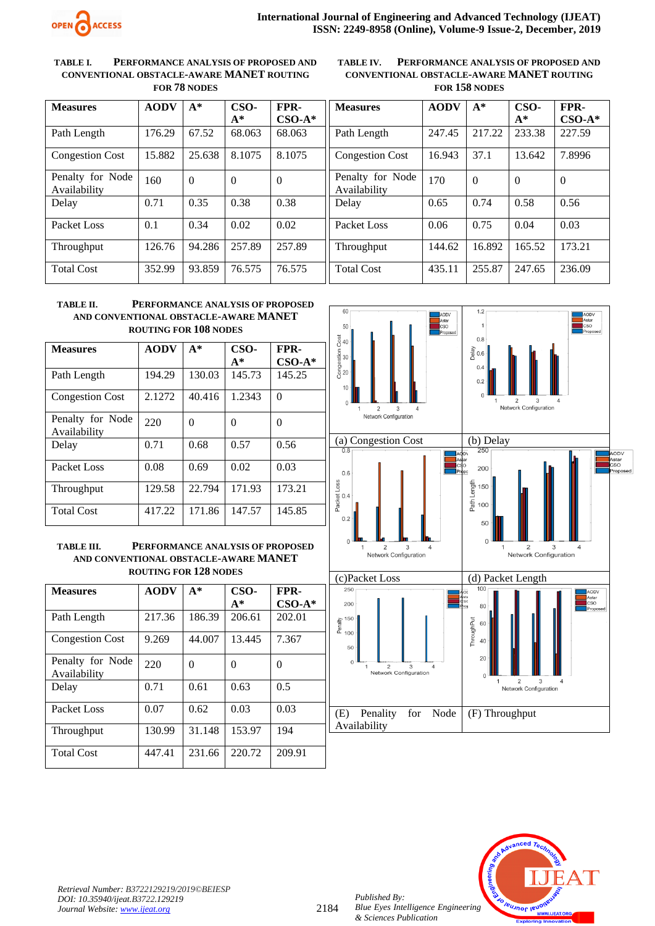

#### **TABLE I. PERFORMANCE ANALYSIS OF PROPOSED AND CONVENTIONAL OBSTACLE-AWARE MANET ROUTING FOR 78 NODES**

**TABLE IV. PERFORMANCE ANALYSIS OF PROPOSED AND CONVENTIONAL OBSTACLE-AWARE MANET ROUTING FOR 158 NODES**

| <b>Measures</b>                  | <b>AODV</b> | $A^*$  | CSO-<br>$A^*$ | FPR-<br>$CSO-A*$ |
|----------------------------------|-------------|--------|---------------|------------------|
| Path Length                      | 176.29      | 67.52  | 68.063        | 68.063           |
| <b>Congestion Cost</b>           | 15.882      | 25.638 | 8.1075        | 8.1075           |
| Penalty for Node<br>Availability | 160         | 0      | ∩             | ∩                |
| Delay                            | 0.71        | 0.35   | 0.38          | 0.38             |
| Packet Loss                      | 0.1         | 0.34   | 0.02          | 0.02             |
| Throughput                       | 126.76      | 94.286 | 257.89        | 257.89           |
| <b>Total Cost</b>                | 352.99      | 93.859 | 76.575        | 76.575           |

| <b>Measures</b>                  | <b>AODV</b> | $A^*$  | CSO-     | FPR-     |
|----------------------------------|-------------|--------|----------|----------|
|                                  |             |        | $A^*$    | $CSO-A*$ |
| Path Length                      | 247.45      | 217.22 | 233.38   | 227.59   |
| <b>Congestion Cost</b>           | 16.943      | 37.1   | 13.642   | 7.8996   |
| Penalty for Node<br>Availability | 170         | 0      | $\Omega$ | $\Omega$ |
| Delay                            | 0.65        | 0.74   | 0.58     | 0.56     |
| Packet Loss                      | 0.06        | 0.75   | 0.04     | 0.03     |
| Throughput                       | 144.62      | 16.892 | 165.52   | 173.21   |
| <b>Total Cost</b>                | 435.11      | 255.87 | 247.65   | 236.09   |

## **TABLE II. PERFORMANCE ANALYSIS OF PROPOSED AND CONVENTIONAL OBSTACLE-AWARE MANET ROUTING FOR 108 NODES**

| <b>Measures</b>                  | <b>AODV</b> | $A^*$  | CSO-   | FPR-     |
|----------------------------------|-------------|--------|--------|----------|
|                                  |             |        | $A^*$  | $CSO-A*$ |
| Path Length                      | 194.29      | 130.03 | 145.73 | 145.25   |
| <b>Congestion Cost</b>           | 2.1272      | 40.416 | 1.2343 | $\Omega$ |
| Penalty for Node<br>Availability | 220         | 0      | 0      | $\Omega$ |
| Delay                            | 0.71        | 0.68   | 0.57   | 0.56     |
| Packet Loss                      | 0.08        | 0.69   | 0.02   | 0.03     |
| Throughput                       | 129.58      | 22.794 | 171.93 | 173.21   |
| <b>Total Cost</b>                | 417.22      | 171.86 | 147.57 | 145.85   |

**TABLE III. PERFORMANCE ANALYSIS OF PROPOSED AND CONVENTIONAL OBSTACLE-AWARE MANET ROUTING FOR 128 NODES**

| <b>Measures</b>                  | <b>AODV</b> | $A^*$  | CSO-     | FPR-     |
|----------------------------------|-------------|--------|----------|----------|
|                                  |             |        | A*       | $CSO-A*$ |
| Path Length                      | 217.36      | 186.39 | 206.61   | 202.01   |
| <b>Congestion Cost</b>           | 9.269       | 44,007 | 13.445   | 7.367    |
| Penalty for Node<br>Availability | 220         | 0      | $\Omega$ | 0        |
| Delay                            | 0.71        | 0.61   | 0.63     | 0.5      |
| Packet Loss                      | 0.07        | 0.62   | 0.03     | 0.03     |
| Throughput                       | 130.99      | 31.148 | 153.97   | 194      |
| <b>Total Cost</b>                | 447.41      | 231.66 | 220.72   | 209.91   |



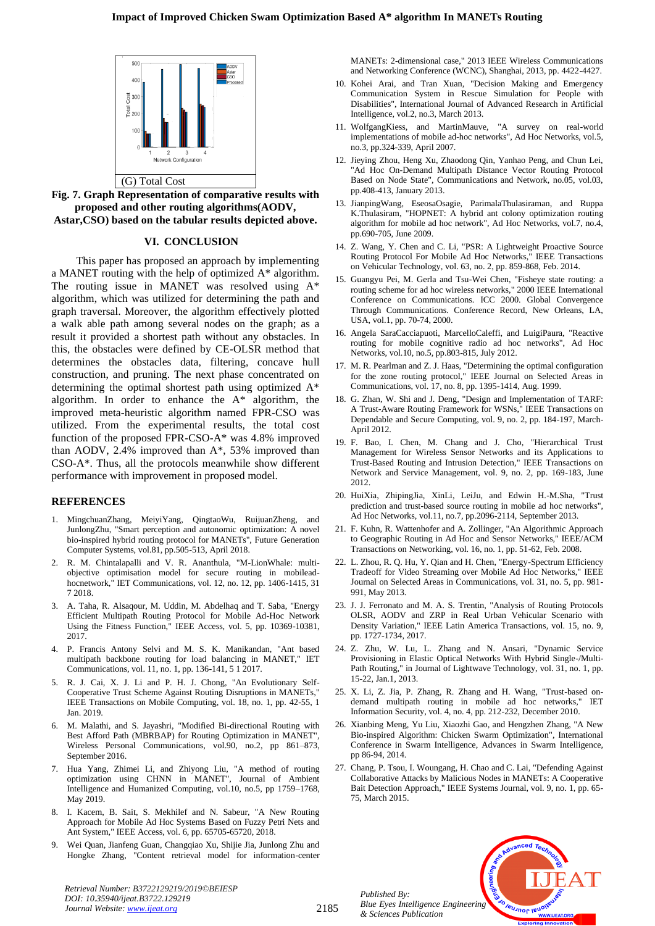

**Fig. 7. Graph Representation of comparative results with proposed and other routing algorithms(AODV, Astar,CSO) based on the tabular results depicted above.**

#### **VI. CONCLUSION**

 This paper has proposed an approach by implementing a MANET routing with the help of optimized A\* algorithm. The routing issue in MANET was resolved using A\* algorithm, which was utilized for determining the path and graph traversal. Moreover, the algorithm effectively plotted a walk able path among several nodes on the graph; as a result it provided a shortest path without any obstacles. In this, the obstacles were defined by CE-OLSR method that determines the obstacles data, filtering, concave hull construction, and pruning. The next phase concentrated on determining the optimal shortest path using optimized A\* algorithm. In order to enhance the A\* algorithm, the improved meta-heuristic algorithm named FPR-CSO was utilized. From the experimental results, the total cost function of the proposed FPR-CSO-A\* was 4.8% improved than AODV, 2.4% improved than A\*, 53% improved than CSO-A\*. Thus, all the protocols meanwhile show different performance with improvement in proposed model.

#### **REFERENCES**

- 1. MingchuanZhang, MeiyiYang, QingtaoWu, RuijuanZheng, and JunlongZhu, "Smart perception and autonomic optimization: A novel bio-inspired hybrid routing protocol for MANETs", Future Generation Computer Systems, vol.81, pp.505-513, April 2018.
- 2. R. M. Chintalapalli and V. R. Ananthula, "M-LionWhale: multiobjective optimisation model for secure routing in mobileadhocnetwork," IET Communications, vol. 12, no. 12, pp. 1406-1415, 31 7 2018.
- 3. A. Taha, R. Alsaqour, M. Uddin, M. Abdelhaq and T. Saba, "Energy Efficient Multipath Routing Protocol for Mobile Ad-Hoc Network Using the Fitness Function," IEEE Access, vol. 5, pp. 10369-10381, 2017.
- 4. P. Francis Antony Selvi and M. S. K. Manikandan, "Ant based multipath backbone routing for load balancing in MANET," IET Communications, vol. 11, no. 1, pp. 136-141, 5 1 2017.
- 5. R. J. Cai, X. J. Li and P. H. J. Chong, "An Evolutionary Self-Cooperative Trust Scheme Against Routing Disruptions in MANETs," IEEE Transactions on Mobile Computing, vol. 18, no. 1, pp. 42-55, 1 Jan. 2019.
- 6. M. Malathi, and S. Jayashri, "Modified Bi-directional Routing with Best Afford Path (MBRBAP) for Routing Optimization in MANET", Wireless Personal Communications, vol.90, no.2, pp 861–873, September 2016.
- 7. Hua Yang, Zhimei Li, and Zhiyong Liu, "A method of routing optimization using CHNN in MANET", Journal of Ambient Intelligence and Humanized Computing, vol.10, no.5, pp 1759–1768, May 2019.
- 8. I. Kacem, B. Sait, S. Mekhilef and N. Sabeur, "A New Routing Approach for Mobile Ad Hoc Systems Based on Fuzzy Petri Nets and Ant System," IEEE Access, vol. 6, pp. 65705-65720, 2018.
- 9. Wei Quan, Jianfeng Guan, Changqiao Xu, Shijie Jia, Junlong Zhu and Hongke Zhang, "Content retrieval model for information-center

*Retrieval Number: B3722129219/2019©BEIESP DOI: 10.35940/ijeat.B3722.129219 Journal Website: [www.ijeat.org](http://www.ijeat.org/)*

MANETs: 2-dimensional case," 2013 IEEE Wireless Communications and Networking Conference (WCNC), Shanghai, 2013, pp. 4422-4427.

- 10. Kohei Arai, and Tran Xuan, "Decision Making and Emergency Communication System in Rescue Simulation for People with Disabilities", International Journal of Advanced Research in Artificial Intelligence, vol.2, no.3, March 2013.
- 11. WolfgangKiess, and MartinMauve, "A survey on real-world implementations of mobile ad-hoc networks", Ad Hoc Networks, vol.5, no.3, pp.324-339, April 2007.
- 12. Jieying Zhou, Heng Xu, Zhaodong Qin, Yanhao Peng, and Chun Lei, "Ad Hoc On-Demand Multipath Distance Vector Routing Protocol Based on Node State", Communications and Network, no.05, vol.03, pp.408-413, January 2013.
- 13. JianpingWang, EseosaOsagie, ParimalaThulasiraman, and Ruppa K.Thulasiram, "HOPNET: A hybrid ant colony optimization routing algorithm for mobile ad hoc network", Ad Hoc Networks, vol.7, no.4, pp.690-705, June 2009.
- 14. Z. Wang, Y. Chen and C. Li, "PSR: A Lightweight Proactive Source Routing Protocol For Mobile Ad Hoc Networks," IEEE Transactions on Vehicular Technology, vol. 63, no. 2, pp. 859-868, Feb. 2014.
- 15. Guangyu Pei, M. Gerla and Tsu-Wei Chen, "Fisheye state routing: a routing scheme for ad hoc wireless networks," 2000 IEEE International Conference on Communications. ICC 2000. Global Convergence Through Communications. Conference Record, New Orleans, LA, USA, vol.1, pp. 70-74, 2000.
- 16. Angela SaraCacciapuoti, MarcelloCaleffi, and LuigiPaura, "Reactive routing for mobile cognitive radio ad hoc networks", Ad Hoc Networks, vol.10, no.5, pp.803-815, July 2012.
- 17. M. R. Pearlman and Z. J. Haas, "Determining the optimal configuration for the zone routing protocol," IEEE Journal on Selected Areas in Communications, vol. 17, no. 8, pp. 1395-1414, Aug. 1999.
- 18. G. Zhan, W. Shi and J. Deng, "Design and Implementation of TARF: A Trust-Aware Routing Framework for WSNs," IEEE Transactions on Dependable and Secure Computing, vol. 9, no. 2, pp. 184-197, March-April 2012.
- 19. F. Bao, I. Chen, M. Chang and J. Cho, "Hierarchical Trust Management for Wireless Sensor Networks and its Applications to Trust-Based Routing and Intrusion Detection," IEEE Transactions on Network and Service Management, vol. 9, no. 2, pp. 169-183, June 2012.
- 20. HuiXia, ZhipingJia, XinLi, LeiJu, and Edwin H.-M.Sha, "Trust prediction and trust-based source routing in mobile ad hoc networks", Ad Hoc Networks, vol.11, no.7, pp.2096-2114, September 2013.
- 21. F. Kuhn, R. Wattenhofer and A. Zollinger, "An Algorithmic Approach to Geographic Routing in Ad Hoc and Sensor Networks," IEEE/ACM Transactions on Networking, vol. 16, no. 1, pp. 51-62, Feb. 2008.
- 22. L. Zhou, R. Q. Hu, Y. Qian and H. Chen, "Energy-Spectrum Efficiency Tradeoff for Video Streaming over Mobile Ad Hoc Networks," IEEE Journal on Selected Areas in Communications, vol. 31, no. 5, pp. 981- 991, May 2013.
- 23. J. J. Ferronato and M. A. S. Trentin, "Analysis of Routing Protocols OLSR, AODV and ZRP in Real Urban Vehicular Scenario with Density Variation," IEEE Latin America Transactions, vol. 15, no. 9, pp. 1727-1734, 2017.
- 24. Z. Zhu, W. Lu, L. Zhang and N. Ansari, "Dynamic Service Provisioning in Elastic Optical Networks With Hybrid Single-/Multi-Path Routing," in Journal of Lightwave Technology, vol. 31, no. 1, pp. 15-22, Jan.1, 2013.
- 25. X. Li, Z. Jia, P. Zhang, R. Zhang and H. Wang, "Trust-based ondemand multipath routing in mobile ad hoc networks," IET Information Security, vol. 4, no. 4, pp. 212-232, December 2010.
- 26. Xianbing Meng, Yu Liu, Xiaozhi Gao, and Hengzhen Zhang, "A New Bio-inspired Algorithm: Chicken Swarm Optimization", International Conference in Swarm Intelligence, Advances in Swarm Intelligence, pp 86-94, 2014.
- 27. Chang, P. Tsou, I. Woungang, H. Chao and C. Lai, "Defending Against Collaborative Attacks by Malicious Nodes in MANETs: A Cooperative Bait Detection Approach," IEEE Systems Journal, vol. 9, no. 1, pp. 65- 75, March 2015.

*Published By: Blue Eyes Intelligence Engineering & Sciences Publication*